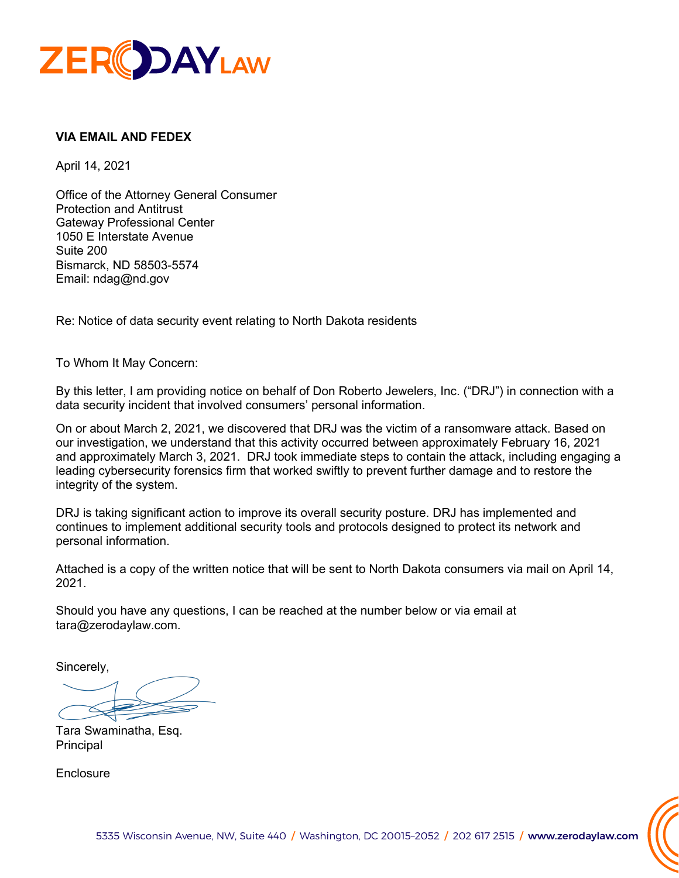

# **VIA EMAIL AND FEDEX**

April 14, 2021

Office of the Attorney General Consumer Protection and Antitrust Gateway Professional Center 1050 E Interstate Avenue Suite 200 Bismarck, ND 58503-5574 Email: ndag@nd.gov

Re: Notice of data security event relating to North Dakota residents

To Whom It May Concern:

By this letter, I am providing notice on behalf of Don Roberto Jewelers, Inc. ("DRJ") in connection with a data security incident that involved consumers' personal information.

On or about March 2, 2021, we discovered that DRJ was the victim of a ransomware attack. Based on our investigation, we understand that this activity occurred between approximately February 16, 2021 and approximately March 3, 2021. DRJ took immediate steps to contain the attack, including engaging a leading cybersecurity forensics firm that worked swiftly to prevent further damage and to restore the integrity of the system.

DRJ is taking significant action to improve its overall security posture. DRJ has implemented and continues to implement additional security tools and protocols designed to protect its network and personal information.

Attached is a copy of the written notice that will be sent to North Dakota consumers via mail on April 14, 2021.

Should you have any questions, I can be reached at the number below or via email at tara@zerodaylaw.com.

Sincerely,

Tara Swaminatha, Esq. Principal

**Enclosure**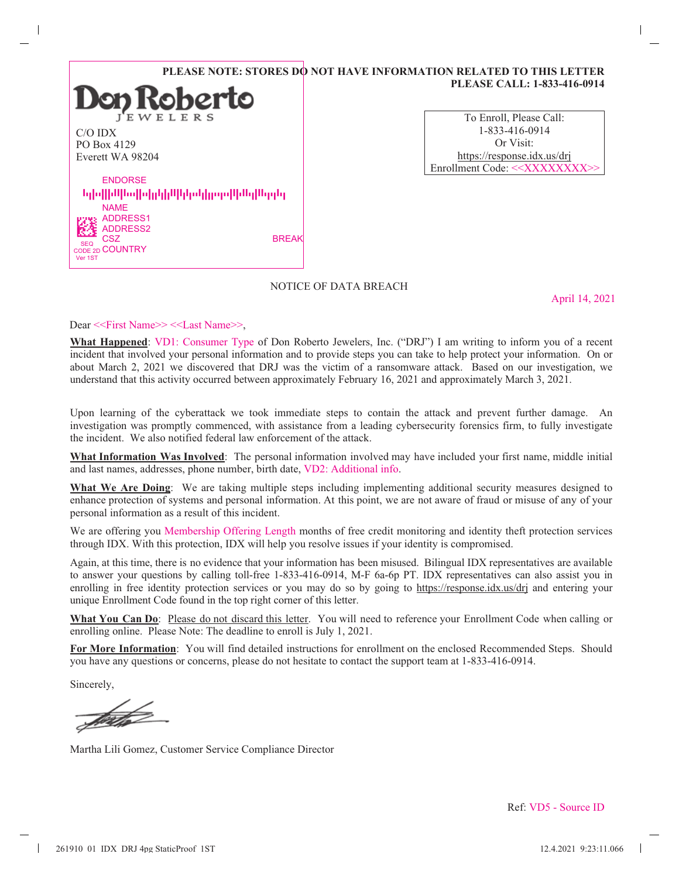|                            | PLEASE NOTE: STORES DO           |
|----------------------------|----------------------------------|
|                            | $\mathbf{D}$ on Roberto          |
| $C/O$ IDX                  |                                  |
| PO Box 4129                |                                  |
| Everett WA 98204           |                                  |
| <b>ENDORSE</b>             |                                  |
|                            | նվովիակավիվզիկականվորումիակարգել |
| <b>NAME</b>                |                                  |
| <b>ADDRESS1</b>            |                                  |
| <b>ADDRESS2</b>            |                                  |
| CSZ<br><b>SEQ</b>          | <b>BREAK</b>                     |
| CODE 2D COUNTRY<br>Ver 1ST |                                  |

| To Enroll, Please Call:                      |  |
|----------------------------------------------|--|
| 1-833-416-0914                               |  |
| Or Visit:                                    |  |
| https://response.idx.us/dri                  |  |
| Enrollment Code: < <xxxxxxxx>&gt;</xxxxxxxx> |  |

**PLEASE CALL: 1-833-416-0914**

**O** NOT HAVE INFORMATION RELATED TO THIS LETTER

#### NOTICE OF DATA BREACH

April 14, 2021

Dear <<First Name>> <<Last Name>>,

**What Happened**: VD1: Consumer Type of Don Roberto Jewelers, Inc. ("DRJ") I am writing to inform you of a recent incident that involved your personal information and to provide steps you can take to help protect your information. On or about March 2, 2021 we discovered that DRJ was the victim of a ransomware attack. Based on our investigation, we understand that this activity occurred between approximately February  $16$ ,  $2021$  and approximately March  $3$ ,  $2021$ .

Upon learning of the cyberattack we took immediate steps to contain the attack and prevent further damage. An investigation was promptly commenced, with assistance from a leading cybersecurity forensics firm, to fully investigate the incident. We also notified federal law enforcement of the attack.

**What Information Was Involved**: The personal information involved may have included your first name, middle initial and last names, addresses, phone number, birth date, VD2: Additional info.

**What We Are Doing**: We are taking multiple steps including implementing additional security measures designed to enhance protection of systems and personal information. At this point, we are not aware of fraud or misuse of any of your personal information as a result of this incident.

We are offering you Membership Offering Length months of free credit monitoring and identity theft protection services through IDX. With this protection, IDX will help you resolve issues if your identity is compromised.

Again, at this time, there is no evidence that your information has been misused. Bilingual IDX representatives are available to answer your questions by calling toll-free 1-833-416-0914, M-F 6a-6p PT. IDX representatives can also assist you in enrolling in free identity protection services or you may do so by going to https://response.idx.us/drj and entering your unique Enrollment Code found in the top right corner of this letter.

What You Can Do: Please do not discard this letter. You will need to reference your Enrollment Code when calling or enrolling online. Please Note: The deadline to enroll is July 1, 2021.

**For More Information**:You will find detailed instructions for enrollment on the enclosed Recommended Steps. Should you have any questions or concerns, please do not hesitate to contact the support team at 1-833-416-0914.

Sincerely,

frith

Martha Lili Gomez, Customer Service Compliance Director

Ref: VD5 - Source ID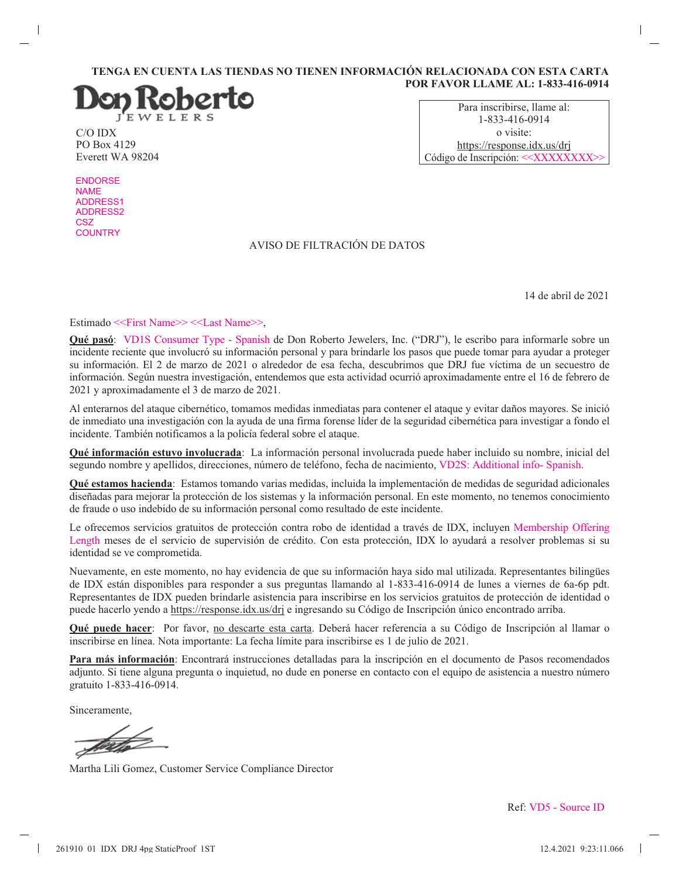#### **TENGA EN CUENTA LAS TIENDAS NO TIENEN INFORMACIÓN RELACIONADA CON ESTA CARTA POR FAVOR LLAME AL: 1-833-416-0914**



C/O IDX PO Box 4129 Everett WA 98204

Para inscribirse, llame al: 1-833-416-0914 o visite: https://response.idx.us/drj Código de Inscripción: <<XXXXXXXX>

ENDORSE NAME ADDRESS1 ADDRESS2 **CSZ COUNTRY** 

 $\mathsf{l}$ 

# AVISO DE FILTRACIÓN DE DATOS

14 de abril de 2021

 $\overline{\phantom{a}}$ 

Estimado <<First Name>> <<Last Name>>,

Qué pasó: VD1S Consumer Type - Spanish de Don Roberto Jewelers, Inc. ("DRJ"), le escribo para informarle sobre un incidente reciente que involucró su información personal y para brindarle los pasos que puede tomar para ayudar a proteger su información. El 2 de marzo de 2021 o alrededor de esa fecha, descubrimos que DRJ fue víctima de un secuestro de información. Según nuestra investigación, entendemos que esta actividad ocurrió aproximadamente entre el 16 de febrero de 2021 y aproximadamente el 3 de marzo de 2021.

Al enterarnos del ataque cibernético, tomamos medidas inmediatas para contener el ataque y evitar daños mayores. Se inició de inmediato una investigación con la ayuda de una firma forense líder de la seguridad cibernética para investigar a fondo el incidente. También notificamos a la policía federal sobre el ataque.

Qué información estuvo involucrada: La información personal involucrada puede haber incluido su nombre, inicial del segundo nombre y apellidos, direcciones, número de teléfono, fecha de nacimiento, VD2S: Additional info- Spanish.

**Qué estamos hacienda**: Estamos tomando varias medidas, incluida la implementación de medidas de seguridad adicionales diseñadas para mejorar la protección de los sistemas y la información personal. En este momento, no tenemos conocimiento de fraude o uso indebido de su información personal como resultado de este incidente.

Le ofrecemos servicios gratuitos de protección contra robo de identidad a través de IDX, incluyen Membership Offering Length meses de el servicio de supervisión de crédito. Con esta protección, IDX lo ayudará a resolver problemas si su identidad se ve comprometida.

Nuevamente, en este momento, no hay evidencia de que su información haya sido mal utilizada. Representantes bilingües de IDX están disponibles para responder a sus preguntas llamando al 1-833-416-0914 de lunes a viernes de 6a-6p pdt. Representantes de IDX pueden brindarle asistencia para inscribirse en los servicios gratuitos de protección de identidad o puede hacerlo yendo a https://response.idx.us/drj e ingresando su Código de Inscripción único encontrado arriba.

**Qué puede hacer**: Por favor, no descarte esta carta. Deberá hacer referencia a su Código de Inscripción al llamar o inscribirse en línea. Nota importante: La fecha límite para inscribirse es 1 de julio de 2021.

Para más información: Encontrará instrucciones detalladas para la inscripción en el documento de Pasos recomendados adjunto. Si tiene alguna pregunta o inquietud, no dude en ponerse en contacto con el equipo de asistencia a nuestro número gratuito 1-833-416-0914.

Sinceramente,

Martha Lili Gomez, Customer Service Compliance Director

Ref: VD5 - Source ID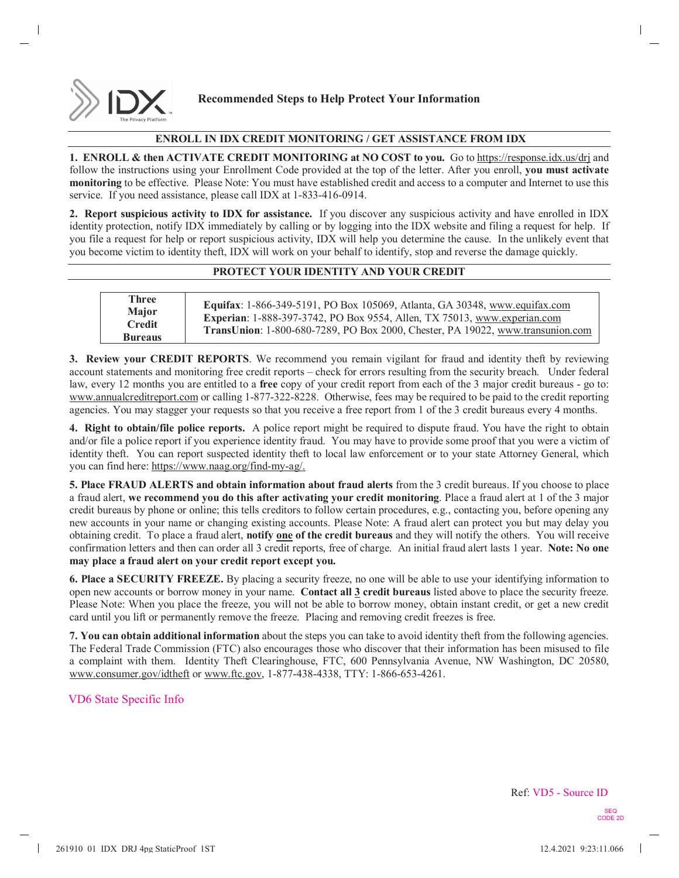

## **Recommended Steps to Help Protect Your Information**

### **ENROLL IN IDX CREDIT MONITORING / GET ASSISTANCE FROM IDX**

**1. ENROLL & then ACTIVATE CREDIT MONITORING at NO COST to you.** Go to https://response.idx.us/drj and follow the instructions using your Enrollment Code provided at the top of the letter. After you enroll, **you must activate monitoring** to be effective. Please Note: You must have established credit and access to a computer and Internet to use this service. If you need assistance, please call IDX at 1-833-416-0914.

**2. Report suspicious activity to IDX for assistance.** If you discover any suspicious activity and have enrolled in IDX identity protection, notify IDX immediately by calling or by logging into the IDX website and filing a request for help. If you file a request for help or report suspicious activity, IDX will help you determine the cause. In the unlikely event that you become victim to identity theft, IDX will work on your behalf to identify, stop and reverse the damage quickly.

### **PROTECT YOUR IDENTITY AND YOUR CREDIT**

| Three<br>Major<br><b>Credit</b><br><b>Bureaus</b> | Equifax: 1-866-349-5191, PO Box 105069, Atlanta, GA 30348, www.equifax.com<br>Experian: 1-888-397-3742, PO Box 9554, Allen, TX 75013, www.experian.com<br>TransUnion: 1-800-680-7289, PO Box 2000, Chester, PA 19022, www.transunion.com |
|---------------------------------------------------|------------------------------------------------------------------------------------------------------------------------------------------------------------------------------------------------------------------------------------------|

**3. Review your CREDIT REPORTS**. We recommend you remain vigilant for fraud and identity theft by reviewing account statements and monitoring free credit reports – check for errors resulting from the security breach. Under federal law, every 12 months you are entitled to a **free** copy of your credit report from each of the 3 major credit bureaus - go to: www.annualcreditreport.com or calling 1-877-322-8228. Otherwise, fees may be required to be paid to the credit reporting agencies. You may stagger your requests so that you receive a free report from 1 of the 3 credit bureaus every 4 months.

**4. Right to obtain/file police reports.** A police report might be required to dispute fraud. You have the right to obtain and/or file a police report if you experience identity fraud. You may have to provide some proof that you were a victim of identity theft. You can report suspected identity theft to local law enforcement or to your state Attorney General, which you can find here: https://www.naag.org/find-my-ag/.

**5. Place FRAUD ALERTS and obtain information about fraud alerts** from the 3 credit bureaus. If you choose to place a fraud alert, **we recommend you do this after activating your credit monitoring**. Place a fraud alert at 1 of the 3 major credit bureaus by phone or online; this tells creditors to follow certain procedures, e.g., contacting you, before opening any new accounts in your name or changing existing accounts. Please Note: A fraud alert can protect you but may delay you obtaining credit. To place a fraud alert, **notify one of the credit bureaus** and they will notify the others. You will receive confirmation letters and then can order all 3 credit reports, free of charge. An initial fraud alert lasts 1 year. **Note: No one may place a fraud alert on your credit report except you.**

**6. Place a SECURITY FREEZE.** By placing a security freeze, no one will be able to use your identifying information to open new accounts or borrow money in your name. **Contact all 3 credit bureaus** listed above to place the security freeze. Please Note: When you place the freeze, you will not be able to borrow money, obtain instant credit, or get a new credit card until you lift or permanently remove the freeze. Placing and removing credit freezes is free.

**7. You can obtain additional information** about the steps you can take to avoid identity theft from the following agencies. The Federal Trade Commission (FTC) also encourages those who discover that their information has been misused to file a complaint with them. Identity Theft Clearinghouse, FTC, 600 Pennsylvania Avenue, NW Washington, DC 20580, www.consumer.gov/idtheft or www.ftc.gov, 1-877-438-4338, TTY: 1-866-653-4261.

## VD6 State Specific Info

SEQ CODE 2D Ref: VD5 - Source ID